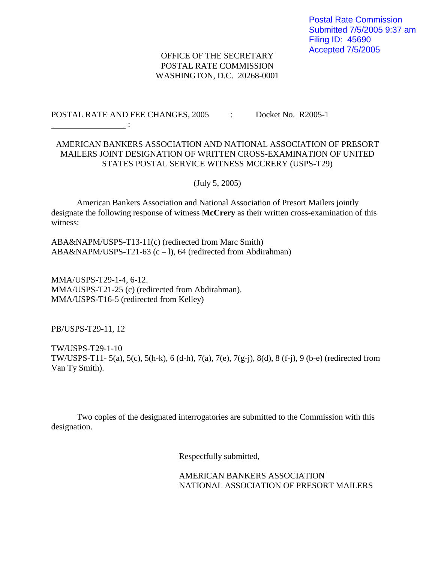## OFFICE OF THE SECRETARY POSTAL RATE COMMISSION WASHINGTON, D.C. 20268-0001

## POSTAL RATE AND FEE CHANGES, 2005 : Docket No. R2005-1

## AMERICAN BANKERS ASSOCIATION AND NATIONAL ASSOCIATION OF PRESORT MAILERS JOINT DESIGNATION OF WRITTEN CROSS-EXAMINATION OF UNITED STATES POSTAL SERVICE WITNESS MCCRERY (USPS-T29)

(July 5, 2005)

American Bankers Association and National Association of Presort Mailers jointly designate the following response of witness **McCrery** as their written cross-examination of this witness:

ABA&NAPM/USPS-T13-11(c) (redirected from Marc Smith) ABA&NAPM/USPS-T21-63 (c – l), 64 (redirected from Abdirahman)

MMA/USPS-T29-1-4, 6-12. MMA/USPS-T21-25 (c) (redirected from Abdirahman). MMA/USPS-T16-5 (redirected from Kelley)

PB/USPS-T29-11, 12

**Service State State State** 

TW/USPS-T29-1-10 TW/USPS-T11- 5(a), 5(c), 5(h-k), 6 (d-h), 7(a), 7(e), 7(g-j), 8(d), 8 (f-j), 9 (b-e) (redirected from Van Ty Smith).

Two copies of the designated interrogatories are submitted to the Commission with this designation.

Respectfully submitted,

AMERICAN BANKERS ASSOCIATION NATIONAL ASSOCIATION OF PRESORT MAILERS